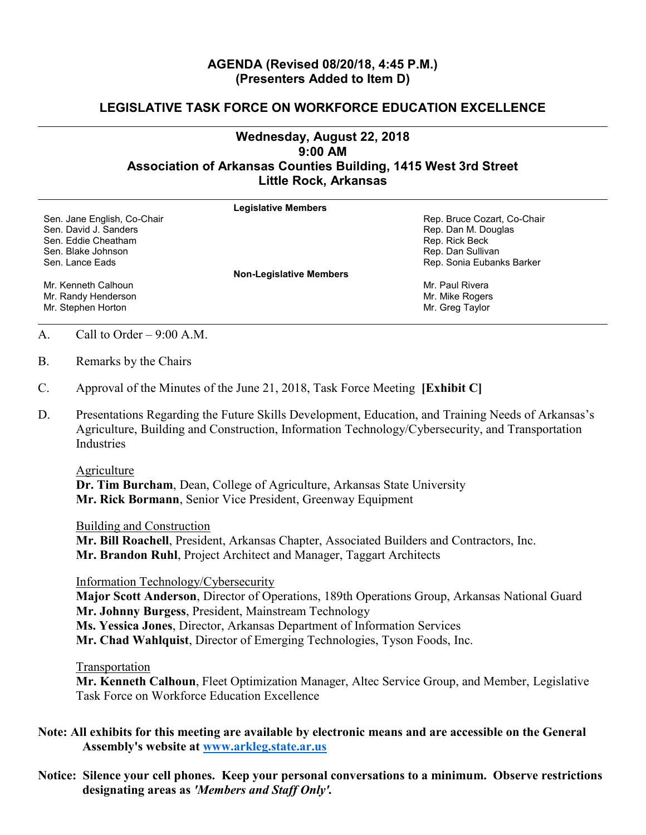## **AGENDA (Revised 08/20/18, 4:45 P.M.) (Presenters Added to Item D)**

## **LEGISLATIVE TASK FORCE ON WORKFORCE EDUCATION EXCELLENCE**

## **Wednesday, August 22, 2018 9:00 AM Association of Arkansas Counties Building, 1415 West 3rd Street Little Rock, Arkansas**

|                             | <b>Legislative Members</b>     |
|-----------------------------|--------------------------------|
| Sen. Jane English, Co-Chair | Rep. Bruce Cozart, Co-Chair    |
| Sen. David J. Sanders       | Rep. Dan M. Douglas            |
| Sen. Eddie Cheatham         | Rep. Rick Beck                 |
| Sen. Blake Johnson          | Rep. Dan Sullivan              |
| Sen. Lance Eads             | Rep. Sonia Eubanks Barker      |
|                             | <b>Non-Legislative Members</b> |
| Mr. Kenneth Calhoun         | Mr. Paul Rivera                |
| Mr. Randy Henderson         | Mr. Mike Rogers                |
| Mr. Stephen Horton          | Mr. Greg Taylor                |
|                             |                                |

A. Call to Order – 9:00 A.M.

- B. Remarks by the Chairs
- C. Approval of the Minutes of the June 21, 2018, Task Force Meeting **[Exhibit C]**
- D. Presentations Regarding the Future Skills Development, Education, and Training Needs of Arkansas's Agriculture, Building and Construction, Information Technology/Cybersecurity, and Transportation Industries

## Agriculture

**Dr. Tim Burcham**, Dean, College of Agriculture, Arkansas State University **Mr. Rick Bormann**, Senior Vice President, Greenway Equipment

Building and Construction

**Mr. Bill Roachell**, President, Arkansas Chapter, Associated Builders and Contractors, Inc. **Mr. Brandon Ruhl**, Project Architect and Manager, Taggart Architects

Information Technology/Cybersecurity

**Major Scott Anderson**, Director of Operations, 189th Operations Group, Arkansas National Guard **Mr. Johnny Burgess**, President, Mainstream Technology

**Ms. Yessica Jones**, Director, Arkansas Department of Information Services

**Mr. Chad Wahlquist**, Director of Emerging Technologies, Tyson Foods, Inc.

Transportation

**Mr. Kenneth Calhoun**, Fleet Optimization Manager, Altec Service Group, and Member, Legislative Task Force on Workforce Education Excellence

**Note: All exhibits for this meeting are available by electronic means and are accessible on the General Assembly's website at [www.arkleg.state.ar.us](http://www.arkleg.state.ar.us)**

**Notice: Silence your cell phones. Keep your personal conversations to a minimum. Observe restrictions designating areas as** *'Members and Staff Only'.*